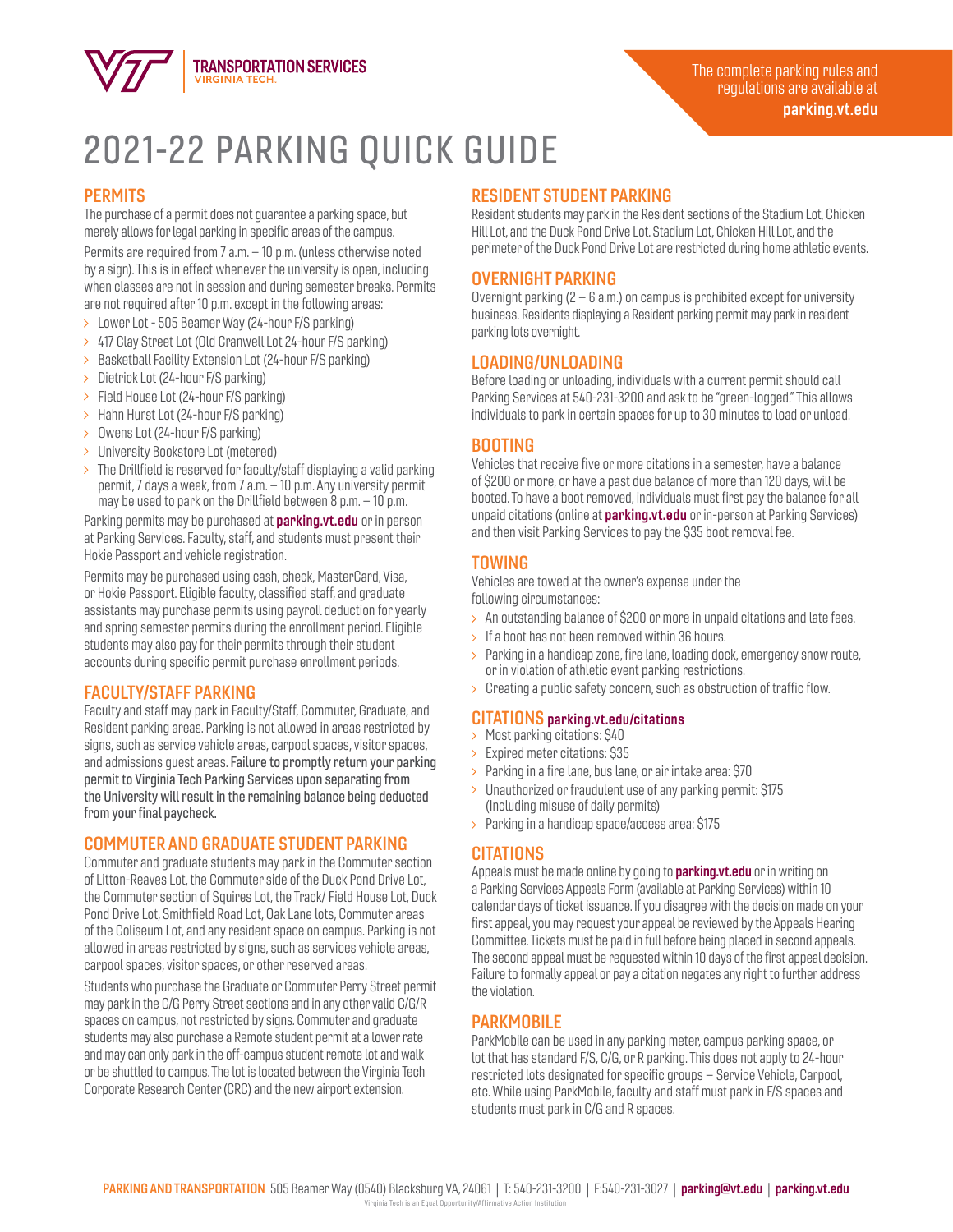

# 2021-22 PARKING QUICK GUIDE

#### **PERMITS**

The purchase of a permit does not guarantee a parking space, but merely allows for legal parking in specific areas of the campus.

Permits are required from 7 a.m. – 10 p.m. (unless otherwise noted by a sign). This is in effect whenever the university is open, including when classes are not in session and during semester breaks. Permits are not required after 10 p.m. except in the following areas:

- Lower Lot 505 Beamer Way (24-hour F/S parking)
- 417 Clay Street Lot (Old Cranwell Lot 24-hour F/S parking)
- > Basketball Facility Extension Lot (24-hour F/S parking)
- $\geq$  Dietrick Lot (24-hour F/S parking)
- Field House Lot (24-hour F/S parking)
- > Hahn Hurst Lot (24-hour F/S parking)
- > Owens Lot (24-hour F/S parking)
- > University Bookstore Lot (metered)
- $>$  The Drillfield is reserved for faculty/staff displaying a valid parking permit, 7 days a week, from 7 a.m. – 10 p.m. Any university permit may be used to park on the Drillfield between 8 p.m. – 10 p.m.

Parking permits may be purchased at **parking.vt.edu** or in person at Parking Services. Faculty, staff, and students must present their Hokie Passport and vehicle registration.

Permits may be purchased using cash, check, MasterCard, Visa, or Hokie Passport. Eligible faculty, classified staff, and graduate assistants may purchase permits using payroll deduction for yearly and spring semester permits during the enrollment period. Eligible students may also pay for their permits through their student accounts during specific permit purchase enrollment periods.

## FACULTY/STAFF PARKING

Faculty and staff may park in Faculty/Staff, Commuter, Graduate, and Resident parking areas. Parking is not allowed in areas restricted by signs, such as service vehicle areas, carpool spaces, visitor spaces, and admissions guest areas. Failure to promptly return your parking permit to Virginia Tech Parking Services upon separating from the University will result in the remaining balance being deducted from your final paycheck.

## COMMUTER AND GRADUATE STUDENT PARKING

Commuter and graduate students may park in the Commuter section of Litton-Reaves Lot, the Commuter side of the Duck Pond Drive Lot, the Commuter section of Squires Lot, the Track/ Field House Lot, Duck Pond Drive Lot, Smithfield Road Lot, Oak Lane lots, Commuter areas of the Coliseum Lot, and any resident space on campus. Parking is not allowed in areas restricted by signs, such as services vehicle areas, carpool spaces, visitor spaces, or other reserved areas.

Students who purchase the Graduate or Commuter Perry Street permit may park in the C/G Perry Street sections and in any other valid C/G/R spaces on campus, not restricted by signs. Commuter and graduate students may also purchase a Remote student permit at a lower rate and may can only park in the off-campus student remote lot and walk or be shuttled to campus. The lot is located between the Virginia Tech Corporate Research Center (CRC) and the new airport extension.

## RESIDENT STUDENT PARKING

Resident students may park in the Resident sections of the Stadium Lot, Chicken Hill Lot, and the Duck Pond Drive Lot. Stadium Lot, Chicken Hill Lot, and the perimeter of the Duck Pond Drive Lot are restricted during home athletic events.

#### OVERNIGHT PARKING

Overnight parking  $(2 - 6 a.m.)$  on campus is prohibited except for university business. Residents displaying a Resident parking permit may park in resident parking lots overnight.

## LOADING/UNLOADING

Before loading or unloading, individuals with a current permit should call Parking Services at 540-231-3200 and ask to be "green-logged." This allows individuals to park in certain spaces for up to 30 minutes to load or unload.

#### BOOTING

Vehicles that receive five or more citations in a semester, have a balance of \$200 or more, or have a past due balance of more than 120 days, will be booted. To have a boot removed, individuals must first pay the balance for all unpaid citations (online at **parking.vt.edu** or in-person at Parking Services) and then visit Parking Services to pay the \$35 boot removal fee.

## TOWING

Vehicles are towed at the owner's expense under the following circumstances:

- $>$  An outstanding balance of \$200 or more in unpaid citations and late fees.
- $\geq$  If a boot has not been removed within 36 hours.
- $>$  Parking in a handicap zone, fire lane, loading dock, emergency snow route, or in violation of athletic event parking restrictions.
- $\geq$  Creating a public safety concern, such as obstruction of traffic flow.

#### CITATIONS parking.vt.edu/citations

- > Most parking citations: \$40
- Expired meter citations: \$35
- $\geq$  Parking in a fire lane, bus lane, or air intake area: \$70
- > Unauthorized or fraudulent use of any parking permit: \$175 (Including misuse of daily permits)
- > Parking in a handicap space/access area: \$175

## **CITATIONS**

Appeals must be made online by going to **parking.vt.edu** or in writing on a Parking Services Appeals Form (available at Parking Services) within 10 calendar days of ticket issuance. If you disagree with the decision made on your first appeal, you may request your appeal be reviewed by the Appeals Hearing Committee. Tickets must be paid in full before being placed in second appeals. The second appeal must be requested within 10 days of the first appeal decision. Failure to formally appeal or pay a citation negates any right to further address the violation.

## **PARKMOBILE**

ParkMobile can be used in any parking meter, campus parking space, or lot that has standard F/S, C/G, or R parking. This does not apply to 24-hour restricted lots designated for specific groups – Service Vehicle, Carpool, etc. While using ParkMobile, faculty and staff must park in F/S spaces and students must park in C/G and R spaces.